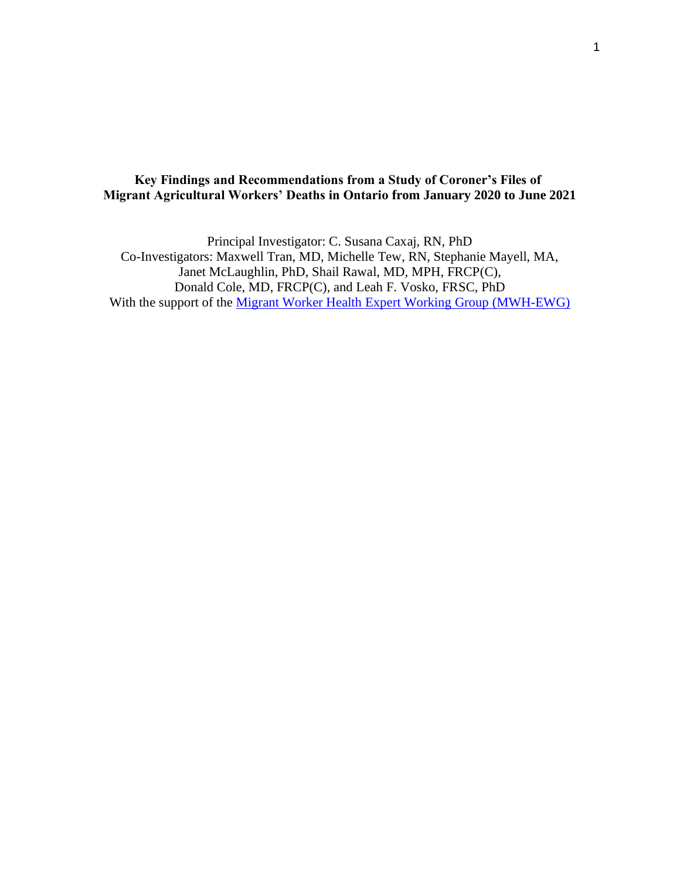# **Key Findings and Recommendations from a Study of Coroner's Files of Migrant Agricultural Workers' Deaths in Ontario from January 2020 to June 2021**

Principal Investigator: C. Susana Caxaj, RN, PhD Co-Investigators: Maxwell Tran, MD, Michelle Tew, RN, Stephanie Mayell, MA, Janet McLaughlin, PhD, Shail Rawal, MD, MPH, FRCP(C), Donald Cole, MD, FRCP(C), and Leah F. Vosko, FRSC, PhD With the support of the **Migrant Worker Health Expert Working Group (MWH-EWG)**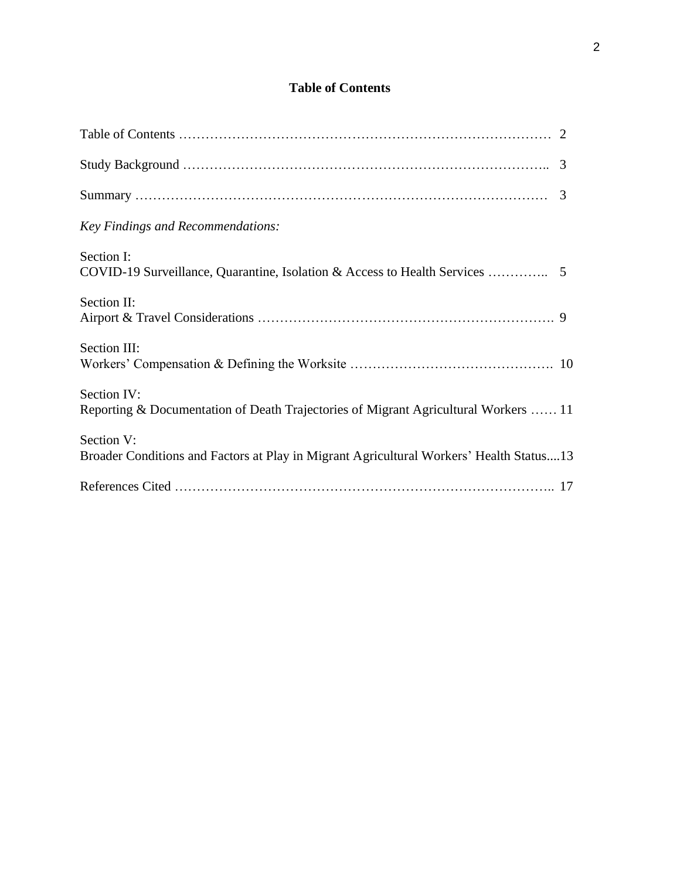# **Table of Contents**

| Key Findings and Recommendations:                                                                     |  |
|-------------------------------------------------------------------------------------------------------|--|
| Section I:                                                                                            |  |
| Section II:                                                                                           |  |
| Section III:                                                                                          |  |
| Section IV:<br>Reporting & Documentation of Death Trajectories of Migrant Agricultural Workers  11    |  |
| Section V:<br>Broader Conditions and Factors at Play in Migrant Agricultural Workers' Health Status13 |  |
|                                                                                                       |  |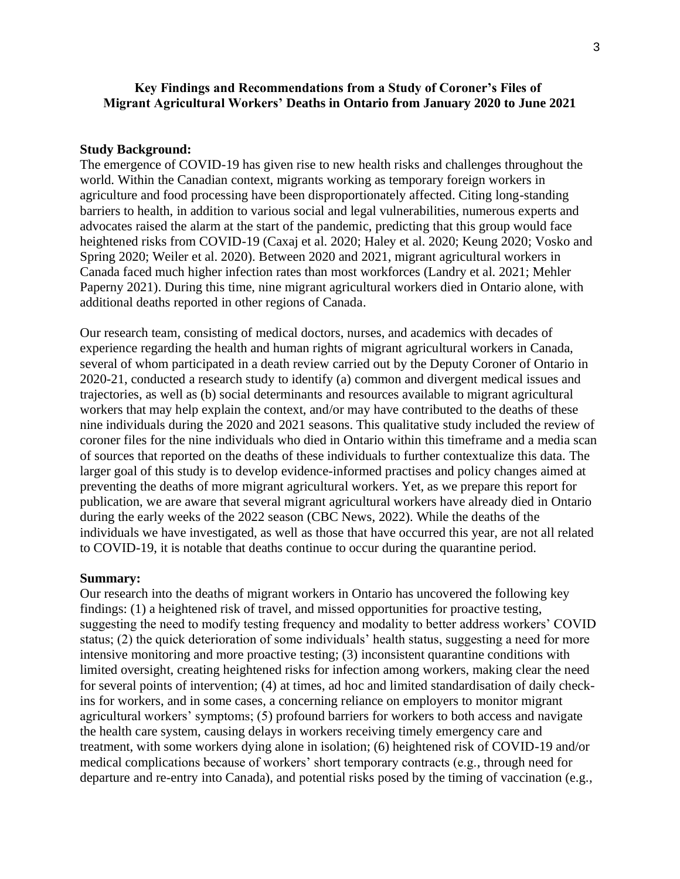# **Key Findings and Recommendations from a Study of Coroner's Files of Migrant Agricultural Workers' Deaths in Ontario from January 2020 to June 2021**

#### **Study Background:**

The emergence of COVID-19 has given rise to new health risks and challenges throughout the world. Within the Canadian context, migrants working as temporary foreign workers in agriculture and food processing have been disproportionately affected. Citing long-standing barriers to health, in addition to various social and legal vulnerabilities, numerous experts and advocates raised the alarm at the start of the pandemic, predicting that this group would face heightened risks from COVID-19 (Caxaj et al. 2020; Haley et al. 2020; Keung 2020; Vosko and Spring 2020; Weiler et al. 2020). Between 2020 and 2021, migrant agricultural workers in Canada faced much higher infection rates than most workforces (Landry et al. 2021; Mehler Paperny 2021). During this time, nine migrant agricultural workers died in Ontario alone, with additional deaths reported in other regions of Canada.

Our research team, consisting of medical doctors, nurses, and academics with decades of experience regarding the health and human rights of migrant agricultural workers in Canada, several of whom participated in a death review carried out by the Deputy Coroner of Ontario in 2020-21, conducted a research study to identify (a) common and divergent medical issues and trajectories, as well as (b) social determinants and resources available to migrant agricultural workers that may help explain the context, and/or may have contributed to the deaths of these nine individuals during the 2020 and 2021 seasons. This qualitative study included the review of coroner files for the nine individuals who died in Ontario within this timeframe and a media scan of sources that reported on the deaths of these individuals to further contextualize this data. The larger goal of this study is to develop evidence-informed practises and policy changes aimed at preventing the deaths of more migrant agricultural workers. Yet, as we prepare this report for publication, we are aware that several migrant agricultural workers have already died in Ontario during the early weeks of the 2022 season (CBC News, 2022). While the deaths of the individuals we have investigated, as well as those that have occurred this year, are not all related to COVID-19, it is notable that deaths continue to occur during the quarantine period.

#### **Summary:**

Our research into the deaths of migrant workers in Ontario has uncovered the following key findings: (1) a heightened risk of travel, and missed opportunities for proactive testing, suggesting the need to modify testing frequency and modality to better address workers' COVID status; (2) the quick deterioration of some individuals' health status, suggesting a need for more intensive monitoring and more proactive testing; (3) inconsistent quarantine conditions with limited oversight, creating heightened risks for infection among workers, making clear the need for several points of intervention; (4) at times, ad hoc and limited standardisation of daily checkins for workers, and in some cases, a concerning reliance on employers to monitor migrant agricultural workers' symptoms; (5) profound barriers for workers to both access and navigate the health care system, causing delays in workers receiving timely emergency care and treatment, with some workers dying alone in isolation; (6) heightened risk of COVID-19 and/or medical complications because of workers' short temporary contracts (e.g., through need for departure and re-entry into Canada), and potential risks posed by the timing of vaccination (e.g.,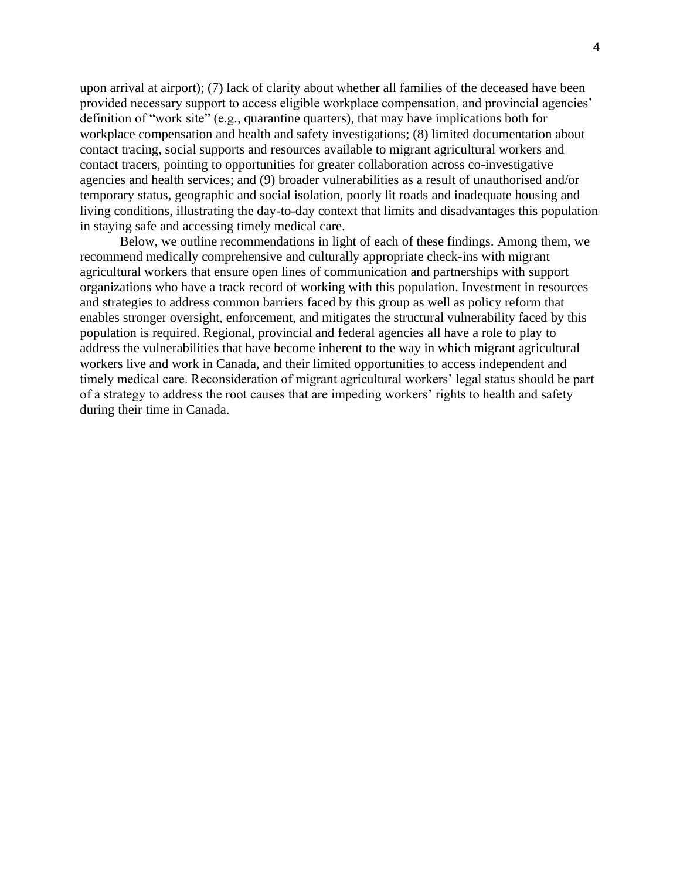upon arrival at airport); (7) lack of clarity about whether all families of the deceased have been provided necessary support to access eligible workplace compensation, and provincial agencies' definition of "work site" (e.g., quarantine quarters), that may have implications both for workplace compensation and health and safety investigations; (8) limited documentation about contact tracing, social supports and resources available to migrant agricultural workers and contact tracers, pointing to opportunities for greater collaboration across co-investigative agencies and health services; and (9) broader vulnerabilities as a result of unauthorised and/or temporary status, geographic and social isolation, poorly lit roads and inadequate housing and living conditions, illustrating the day-to-day context that limits and disadvantages this population in staying safe and accessing timely medical care.

Below, we outline recommendations in light of each of these findings. Among them, we recommend medically comprehensive and culturally appropriate check-ins with migrant agricultural workers that ensure open lines of communication and partnerships with support organizations who have a track record of working with this population. Investment in resources and strategies to address common barriers faced by this group as well as policy reform that enables stronger oversight, enforcement, and mitigates the structural vulnerability faced by this population is required. Regional, provincial and federal agencies all have a role to play to address the vulnerabilities that have become inherent to the way in which migrant agricultural workers live and work in Canada, and their limited opportunities to access independent and timely medical care. Reconsideration of migrant agricultural workers' legal status should be part of a strategy to address the root causes that are impeding workers' rights to health and safety during their time in Canada.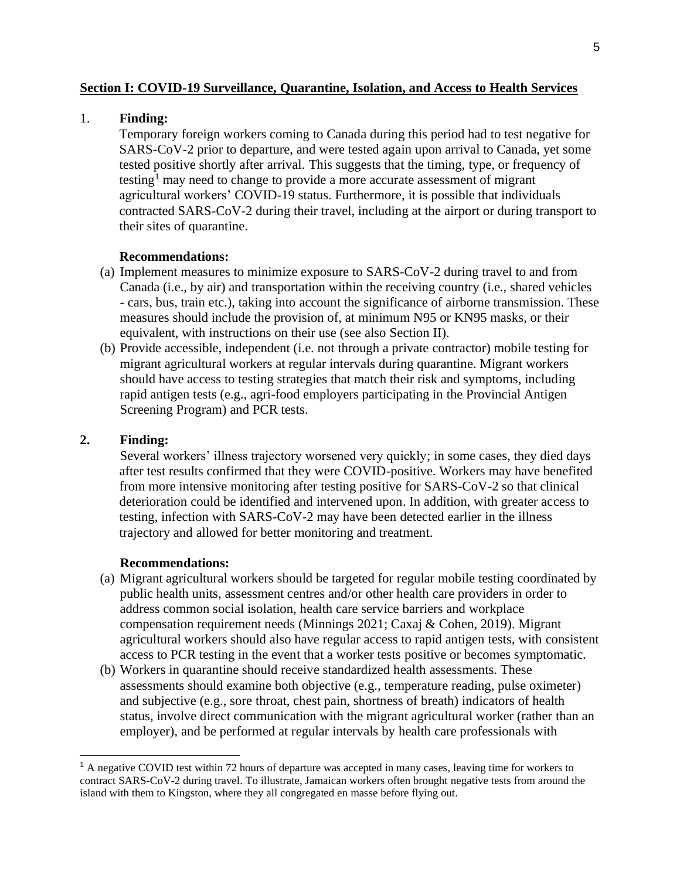### **Section I: COVID-19 Surveillance, Quarantine, Isolation, and Access to Health Services**

#### 1. **Finding:**

Temporary foreign workers coming to Canada during this period had to test negative for SARS-CoV-2 prior to departure, and were tested again upon arrival to Canada, yet some tested positive shortly after arrival. This suggests that the timing, type, or frequency of testing<sup>1</sup> may need to change to provide a more accurate assessment of migrant agricultural workers' COVID-19 status. Furthermore, it is possible that individuals contracted SARS-CoV-2 during their travel, including at the airport or during transport to their sites of quarantine.

# **Recommendations:**

- (a) Implement measures to minimize exposure to SARS-CoV-2 during travel to and from Canada (i.e., by air) and transportation within the receiving country (i.e., shared vehicles - cars, bus, train etc.), taking into account the significance of airborne transmission. These measures should include the provision of, at minimum N95 or KN95 masks, or their equivalent, with instructions on their use (see also Section II).
- (b) Provide accessible, independent (i.e. not through a private contractor) mobile testing for migrant agricultural workers at regular intervals during quarantine. Migrant workers should have access to testing strategies that match their risk and symptoms, including rapid antigen tests (e.g., agri-food employers participating in the Provincial Antigen Screening Program) and PCR tests.

# **2. Finding:**

Several workers' illness trajectory worsened very quickly; in some cases, they died days after test results confirmed that they were COVID-positive. Workers may have benefited from more intensive monitoring after testing positive for SARS-CoV-2 so that clinical deterioration could be identified and intervened upon. In addition, with greater access to testing, infection with SARS-CoV-2 may have been detected earlier in the illness trajectory and allowed for better monitoring and treatment.

- (a) Migrant agricultural workers should be targeted for regular mobile testing coordinated by public health units, assessment centres and/or other health care providers in order to address common social isolation, health care service barriers and workplace compensation requirement needs (Minnings 2021; Caxaj & Cohen, 2019). Migrant agricultural workers should also have regular access to rapid antigen tests, with consistent access to PCR testing in the event that a worker tests positive or becomes symptomatic.
- (b) Workers in quarantine should receive standardized health assessments. These assessments should examine both objective (e.g., temperature reading, pulse oximeter) and subjective (e.g., sore throat, chest pain, shortness of breath) indicators of health status, involve direct communication with the migrant agricultural worker (rather than an employer), and be performed at regular intervals by health care professionals with

<sup>1</sup> A negative COVID test within 72 hours of departure was accepted in many cases, leaving time for workers to contract SARS-CoV-2 during travel. To illustrate, Jamaican workers often brought negative tests from around the island with them to Kingston, where they all congregated en masse before flying out.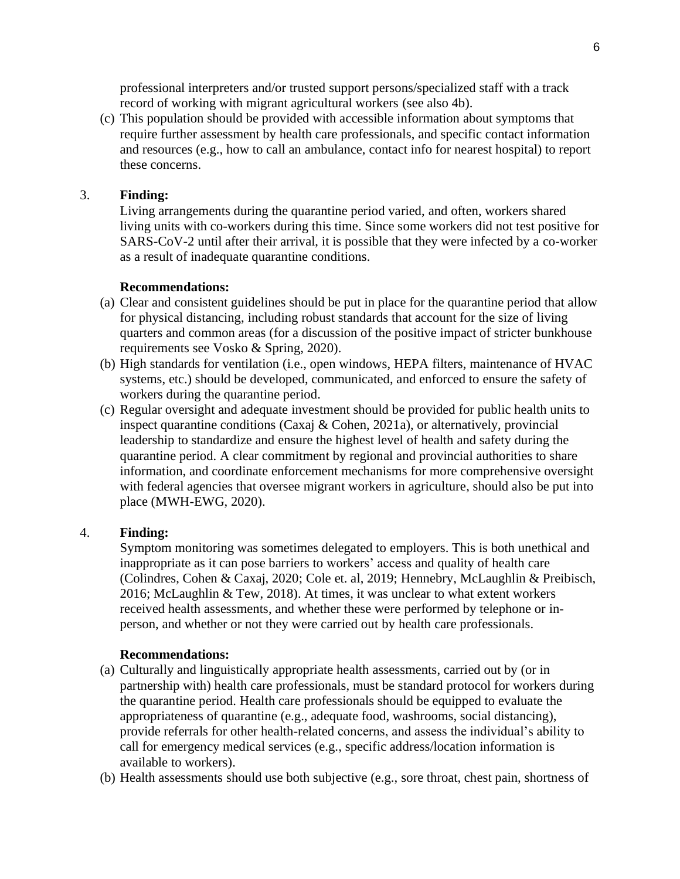professional interpreters and/or trusted support persons/specialized staff with a track record of working with migrant agricultural workers (see also 4b).

(c) This population should be provided with accessible information about symptoms that require further assessment by health care professionals, and specific contact information and resources (e.g., how to call an ambulance, contact info for nearest hospital) to report these concerns.

# 3. **Finding:**

Living arrangements during the quarantine period varied, and often, workers shared living units with co-workers during this time. Since some workers did not test positive for SARS-CoV-2 until after their arrival, it is possible that they were infected by a co-worker as a result of inadequate quarantine conditions.

#### **Recommendations:**

- (a) Clear and consistent guidelines should be put in place for the quarantine period that allow for physical distancing, including robust standards that account for the size of living quarters and common areas (for a discussion of the positive impact of stricter bunkhouse requirements see Vosko & Spring, 2020).
- (b) High standards for ventilation (i.e., open windows, HEPA filters, maintenance of HVAC systems, etc.) should be developed, communicated, and enforced to ensure the safety of workers during the quarantine period.
- (c) Regular oversight and adequate investment should be provided for public health units to inspect quarantine conditions (Caxaj & Cohen, 2021a), or alternatively, provincial leadership to standardize and ensure the highest level of health and safety during the quarantine period. A clear commitment by regional and provincial authorities to share information, and coordinate enforcement mechanisms for more comprehensive oversight with federal agencies that oversee migrant workers in agriculture, should also be put into place (MWH-EWG, 2020).

# 4. **Finding:**

Symptom monitoring was sometimes delegated to employers. This is both unethical and inappropriate as it can pose barriers to workers' access and quality of health care (Colindres, Cohen & Caxaj, 2020; Cole et. al, 2019; Hennebry, McLaughlin & Preibisch, 2016; McLaughlin & Tew, 2018). At times, it was unclear to what extent workers received health assessments, and whether these were performed by telephone or inperson, and whether or not they were carried out by health care professionals.

- (a) Culturally and linguistically appropriate health assessments, carried out by (or in partnership with) health care professionals, must be standard protocol for workers during the quarantine period. Health care professionals should be equipped to evaluate the appropriateness of quarantine (e.g., adequate food, washrooms, social distancing), provide referrals for other health-related concerns, and assess the individual's ability to call for emergency medical services (e.g., specific address/location information is available to workers).
- (b) Health assessments should use both subjective (e.g., sore throat, chest pain, shortness of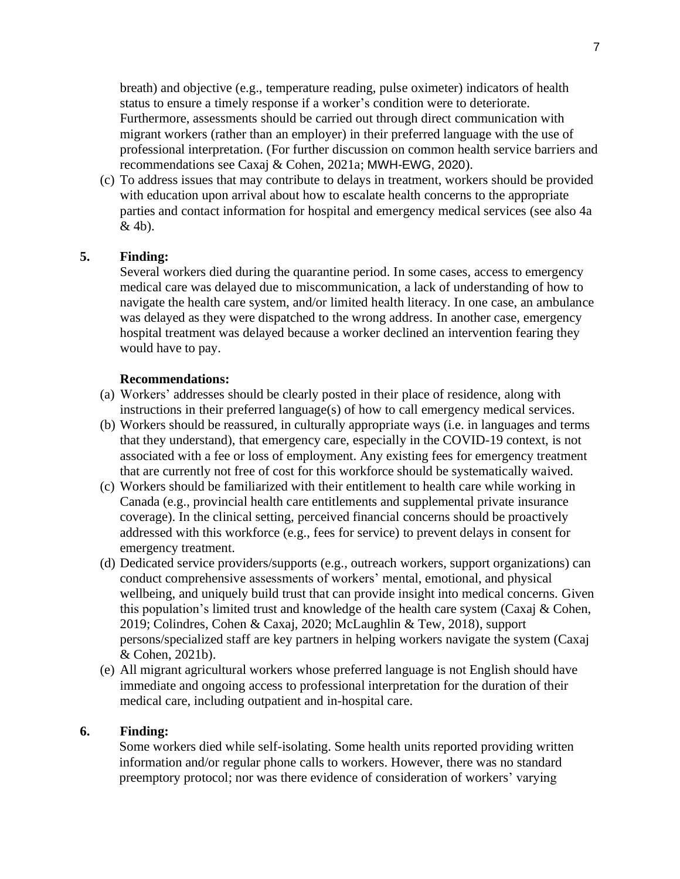breath) and objective (e.g., temperature reading, pulse oximeter) indicators of health status to ensure a timely response if a worker's condition were to deteriorate. Furthermore, assessments should be carried out through direct communication with migrant workers (rather than an employer) in their preferred language with the use of professional interpretation. (For further discussion on common health service barriers and recommendations see Caxaj & Cohen, 2021a; MWH-EWG, 2020).

(c) To address issues that may contribute to delays in treatment, workers should be provided with education upon arrival about how to escalate health concerns to the appropriate parties and contact information for hospital and emergency medical services (see also 4a & 4b).

# **5. Finding:**

Several workers died during the quarantine period. In some cases, access to emergency medical care was delayed due to miscommunication, a lack of understanding of how to navigate the health care system, and/or limited health literacy. In one case, an ambulance was delayed as they were dispatched to the wrong address. In another case, emergency hospital treatment was delayed because a worker declined an intervention fearing they would have to pay.

# **Recommendations:**

- (a) Workers' addresses should be clearly posted in their place of residence, along with instructions in their preferred language(s) of how to call emergency medical services.
- (b) Workers should be reassured, in culturally appropriate ways (i.e. in languages and terms that they understand), that emergency care, especially in the COVID-19 context, is not associated with a fee or loss of employment. Any existing fees for emergency treatment that are currently not free of cost for this workforce should be systematically waived.
- (c) Workers should be familiarized with their entitlement to health care while working in Canada (e.g., provincial health care entitlements and supplemental private insurance coverage). In the clinical setting, perceived financial concerns should be proactively addressed with this workforce (e.g., fees for service) to prevent delays in consent for emergency treatment.
- (d) Dedicated service providers/supports (e.g., outreach workers, support organizations) can conduct comprehensive assessments of workers' mental, emotional, and physical wellbeing, and uniquely build trust that can provide insight into medical concerns. Given this population's limited trust and knowledge of the health care system (Caxaj & Cohen, 2019; Colindres, Cohen & Caxaj, 2020; McLaughlin & Tew, 2018), support persons/specialized staff are key partners in helping workers navigate the system (Caxaj & Cohen, 2021b).
- (e) All migrant agricultural workers whose preferred language is not English should have immediate and ongoing access to professional interpretation for the duration of their medical care, including outpatient and in-hospital care.

### **6. Finding:**

Some workers died while self-isolating. Some health units reported providing written information and/or regular phone calls to workers. However, there was no standard preemptory protocol; nor was there evidence of consideration of workers' varying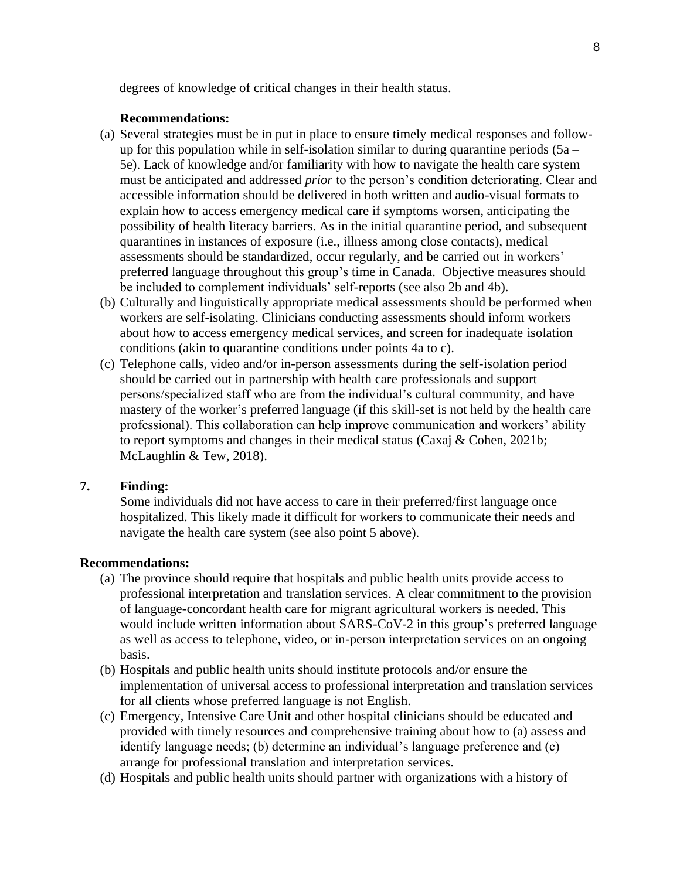degrees of knowledge of critical changes in their health status.

#### **Recommendations:**

- (a) Several strategies must be in put in place to ensure timely medical responses and followup for this population while in self-isolation similar to during quarantine periods  $(5a -$ 5e). Lack of knowledge and/or familiarity with how to navigate the health care system must be anticipated and addressed *prior* to the person's condition deteriorating. Clear and accessible information should be delivered in both written and audio-visual formats to explain how to access emergency medical care if symptoms worsen, anticipating the possibility of health literacy barriers. As in the initial quarantine period, and subsequent quarantines in instances of exposure (i.e., illness among close contacts), medical assessments should be standardized, occur regularly, and be carried out in workers' preferred language throughout this group's time in Canada. Objective measures should be included to complement individuals' self-reports (see also 2b and 4b).
- (b) Culturally and linguistically appropriate medical assessments should be performed when workers are self-isolating. Clinicians conducting assessments should inform workers about how to access emergency medical services, and screen for inadequate isolation conditions (akin to quarantine conditions under points 4a to c).
- (c) Telephone calls, video and/or in-person assessments during the self-isolation period should be carried out in partnership with health care professionals and support persons/specialized staff who are from the individual's cultural community, and have mastery of the worker's preferred language (if this skill-set is not held by the health care professional). This collaboration can help improve communication and workers' ability to report symptoms and changes in their medical status (Caxaj & Cohen, 2021b; McLaughlin & Tew, 2018).

### **7. Finding:**

Some individuals did not have access to care in their preferred/first language once hospitalized. This likely made it difficult for workers to communicate their needs and navigate the health care system (see also point 5 above).

- (a) The province should require that hospitals and public health units provide access to professional interpretation and translation services. A clear commitment to the provision of language-concordant health care for migrant agricultural workers is needed. This would include written information about SARS-CoV-2 in this group's preferred language as well as access to telephone, video, or in-person interpretation services on an ongoing basis.
- (b) Hospitals and public health units should institute protocols and/or ensure the implementation of universal access to professional interpretation and translation services for all clients whose preferred language is not English.
- (c) Emergency, Intensive Care Unit and other hospital clinicians should be educated and provided with timely resources and comprehensive training about how to (a) assess and identify language needs; (b) determine an individual's language preference and (c) arrange for professional translation and interpretation services.
- (d) Hospitals and public health units should partner with organizations with a history of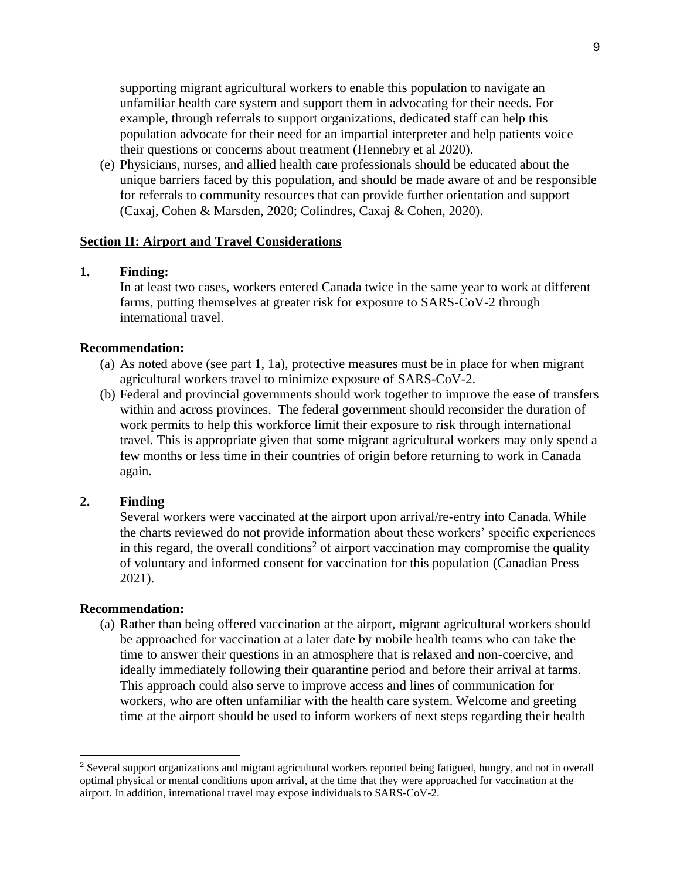supporting migrant agricultural workers to enable this population to navigate an unfamiliar health care system and support them in advocating for their needs. For example, through referrals to support organizations, dedicated staff can help this population advocate for their need for an impartial interpreter and help patients voice their questions or concerns about treatment (Hennebry et al 2020).

(e) Physicians, nurses, and allied health care professionals should be educated about the unique barriers faced by this population, and should be made aware of and be responsible for referrals to community resources that can provide further orientation and support (Caxaj, Cohen & Marsden, 2020; Colindres, Caxaj & Cohen, 2020).

### **Section II: Airport and Travel Considerations**

#### **1. Finding:**

In at least two cases, workers entered Canada twice in the same year to work at different farms, putting themselves at greater risk for exposure to SARS-CoV-2 through international travel.

#### **Recommendation:**

- (a) As noted above (see part 1, 1a), protective measures must be in place for when migrant agricultural workers travel to minimize exposure of SARS-CoV-2.
- (b) Federal and provincial governments should work together to improve the ease of transfers within and across provinces. The federal government should reconsider the duration of work permits to help this workforce limit their exposure to risk through international travel. This is appropriate given that some migrant agricultural workers may only spend a few months or less time in their countries of origin before returning to work in Canada again.

### **2. Finding**

Several workers were vaccinated at the airport upon arrival/re-entry into Canada. While the charts reviewed do not provide information about these workers' specific experiences in this regard, the overall conditions<sup>2</sup> of airport vaccination may compromise the quality of voluntary and informed consent for vaccination for this population (Canadian Press 2021).

#### **Recommendation:**

(a) Rather than being offered vaccination at the airport, migrant agricultural workers should be approached for vaccination at a later date by mobile health teams who can take the time to answer their questions in an atmosphere that is relaxed and non-coercive, and ideally immediately following their quarantine period and before their arrival at farms. This approach could also serve to improve access and lines of communication for workers, who are often unfamiliar with the health care system. Welcome and greeting time at the airport should be used to inform workers of next steps regarding their health

<sup>2</sup> Several support organizations and migrant agricultural workers reported being fatigued, hungry, and not in overall optimal physical or mental conditions upon arrival, at the time that they were approached for vaccination at the airport. In addition, international travel may expose individuals to SARS-CoV-2.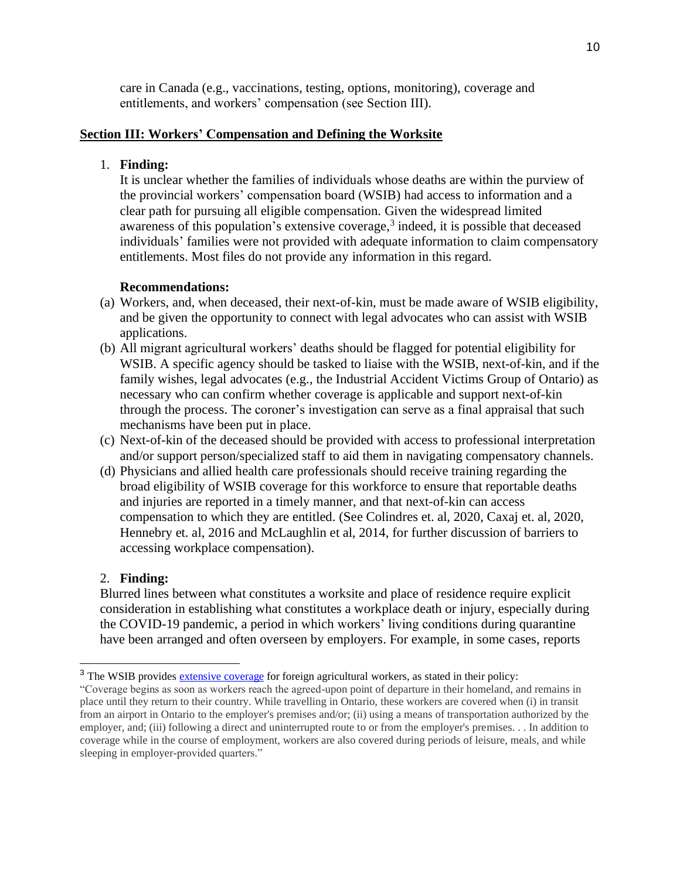care in Canada (e.g., vaccinations, testing, options, monitoring), coverage and entitlements, and workers' compensation (see Section III).

### **Section III: Workers' Compensation and Defining the Worksite**

### 1. **Finding:**

It is unclear whether the families of individuals whose deaths are within the purview of the provincial workers' compensation board (WSIB) had access to information and a clear path for pursuing all eligible compensation. Given the widespread limited awareness of this population's [extensive coverage,](https://www.wsib.ca/en/operational-policy-manual/foreign-agricultural-workers) 3 indeed, it is possible that deceased individuals' families were not provided with adequate information to claim compensatory entitlements. Most files do not provide any information in this regard.

## **Recommendations:**

- (a) Workers, and, when deceased, their next-of-kin, must be made aware of WSIB eligibility, and be given the opportunity to connect with legal advocates who can assist with WSIB applications.
- (b) All migrant agricultural workers' deaths should be flagged for potential eligibility for WSIB. A specific agency should be tasked to liaise with the WSIB, next-of-kin, and if the family wishes, legal advocates (e.g., the Industrial Accident Victims Group of Ontario) as necessary who can confirm whether coverage is applicable and support next-of-kin through the process. The coroner's investigation can serve as a final appraisal that such mechanisms have been put in place.
- (c) Next-of-kin of the deceased should be provided with access to professional interpretation and/or support person/specialized staff to aid them in navigating compensatory channels.
- (d) Physicians and allied health care professionals should receive training regarding the broad eligibility of WSIB coverage for this workforce to ensure that reportable deaths and injuries are reported in a timely manner, and that next-of-kin can access compensation to which they are entitled. (See Colindres et. al, 2020, Caxaj et. al, 2020, Hennebry et. al, 2016 and McLaughlin et al, 2014, for further discussion of barriers to accessing workplace compensation).

### 2. **Finding:**

Blurred lines between what constitutes a worksite and place of residence require explicit consideration in establishing what constitutes a workplace death or injury, especially during the COVID-19 pandemic, a period in which workers' living conditions during quarantine have been arranged and often overseen by employers. For example, in some cases, reports

<sup>&</sup>lt;sup>3</sup> The WSIB provides [extensive coverage](https://www.wsib.ca/en/operational-policy-manual/foreign-agricultural-workers) for foreign agricultural workers, as stated in their policy:

<sup>&</sup>quot;Coverage begins as soon as workers reach the agreed-upon point of departure in their homeland, and remains in place until they return to their country. While travelling in Ontario, these workers are covered when (i) in transit from an airport in Ontario to the employer's premises and/or; (ii) using a means of transportation authorized by the employer, and; (iii) following a direct and uninterrupted route to or from the employer's premises. . . In addition to coverage while in the course of employment, workers are also covered during periods of leisure, meals, and while sleeping in employer-provided quarters."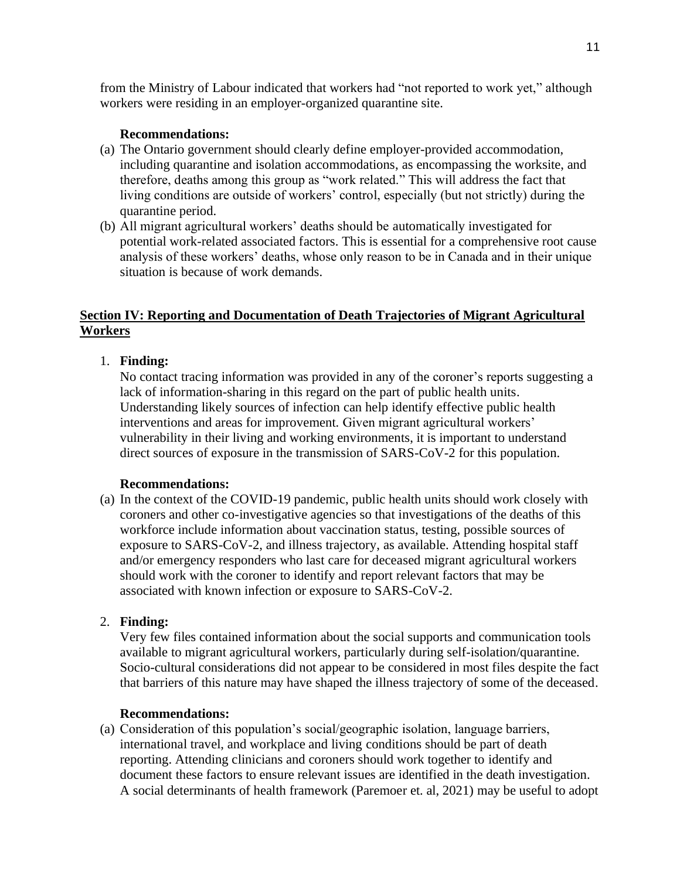from the Ministry of Labour indicated that workers had "not reported to work yet," although workers were residing in an employer-organized quarantine site.

### **Recommendations:**

- (a) The Ontario government should clearly define employer-provided accommodation, including quarantine and isolation accommodations, as encompassing the worksite, and therefore, deaths among this group as "work related." This will address the fact that living conditions are outside of workers' control, especially (but not strictly) during the quarantine period.
- (b) All migrant agricultural workers' deaths should be automatically investigated for potential work-related associated factors. This is essential for a comprehensive root cause analysis of these workers' deaths, whose only reason to be in Canada and in their unique situation is because of work demands.

# **Section IV: Reporting and Documentation of Death Trajectories of Migrant Agricultural Workers**

# 1. **Finding:**

No contact tracing information was provided in any of the coroner's reports suggesting a lack of information-sharing in this regard on the part of public health units. Understanding likely sources of infection can help identify effective public health interventions and areas for improvement. Given migrant agricultural workers' vulnerability in their living and working environments, it is important to understand direct sources of exposure in the transmission of SARS-CoV-2 for this population.

#### **Recommendations:**

(a) In the context of the COVID-19 pandemic, public health units should work closely with coroners and other co-investigative agencies so that investigations of the deaths of this workforce include information about vaccination status, testing, possible sources of exposure to SARS-CoV-2, and illness trajectory, as available. Attending hospital staff and/or emergency responders who last care for deceased migrant agricultural workers should work with the coroner to identify and report relevant factors that may be associated with known infection or exposure to SARS-CoV-2.

### 2. **Finding:**

Very few files contained information about the social supports and communication tools available to migrant agricultural workers, particularly during self-isolation/quarantine. Socio-cultural considerations did not appear to be considered in most files despite the fact that barriers of this nature may have shaped the illness trajectory of some of the deceased.

# **Recommendations:**

(a) Consideration of this population's social/geographic isolation, language barriers, international travel, and workplace and living conditions should be part of death reporting. Attending clinicians and coroners should work together to identify and document these factors to ensure relevant issues are identified in the death investigation. A social determinants of health framework (Paremoer et. al, 2021) may be useful to adopt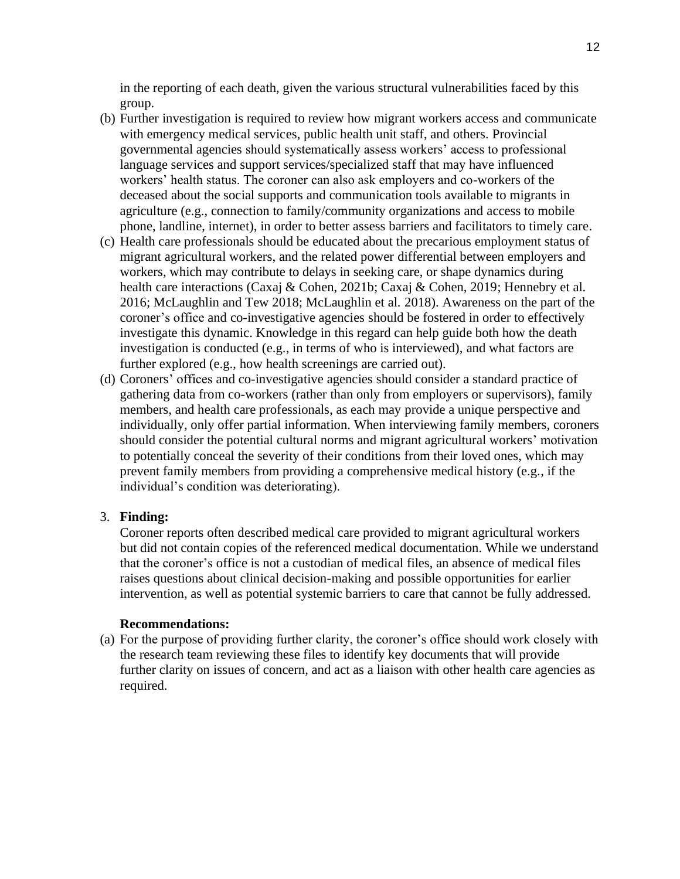in the reporting of each death, given the various structural vulnerabilities faced by this group.

- (b) Further investigation is required to review how migrant workers access and communicate with emergency medical services, public health unit staff, and others. Provincial governmental agencies should systematically assess workers' access to professional language services and support services/specialized staff that may have influenced workers' health status. The coroner can also ask employers and co-workers of the deceased about the social supports and communication tools available to migrants in agriculture (e.g., connection to family/community organizations and access to mobile phone, landline, internet), in order to better assess barriers and facilitators to timely care.
- (c) Health care professionals should be educated about the precarious employment status of migrant agricultural workers, and the related power differential between employers and workers, which may contribute to delays in seeking care, or shape dynamics during health care interactions (Caxaj & Cohen, 2021b; Caxaj & Cohen, 2019; Hennebry et al. 2016; McLaughlin and Tew 2018; McLaughlin et al. 2018). Awareness on the part of the coroner's office and co-investigative agencies should be fostered in order to effectively investigate this dynamic. Knowledge in this regard can help guide both how the death investigation is conducted (e.g., in terms of who is interviewed), and what factors are further explored (e.g., how health screenings are carried out).
- (d) Coroners' offices and co-investigative agencies should consider a standard practice of gathering data from co-workers (rather than only from employers or supervisors), family members, and health care professionals, as each may provide a unique perspective and individually, only offer partial information. When interviewing family members, coroners should consider the potential cultural norms and migrant agricultural workers' motivation to potentially conceal the severity of their conditions from their loved ones, which may prevent family members from providing a comprehensive medical history (e.g., if the individual's condition was deteriorating).

#### 3. **Finding:**

Coroner reports often described medical care provided to migrant agricultural workers but did not contain copies of the referenced medical documentation. While we understand that the coroner's office is not a custodian of medical files, an absence of medical files raises questions about clinical decision-making and possible opportunities for earlier intervention, as well as potential systemic barriers to care that cannot be fully addressed.

#### **Recommendations:**

(a) For the purpose of providing further clarity, the coroner's office should work closely with the research team reviewing these files to identify key documents that will provide further clarity on issues of concern, and act as a liaison with other health care agencies as required.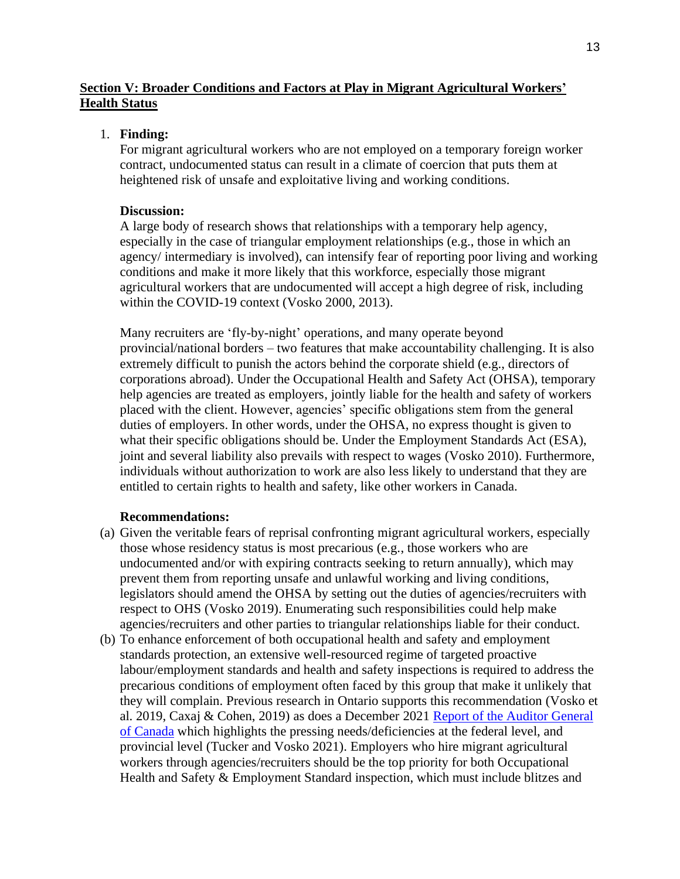# **Section V: Broader Conditions and Factors at Play in Migrant Agricultural Workers' Health Status**

# 1. **Finding:**

For migrant agricultural workers who are not employed on a temporary foreign worker contract, undocumented status can result in a climate of coercion that puts them at heightened risk of unsafe and exploitative living and working conditions.

### **Discussion:**

A large body of research shows that relationships with a temporary help agency, especially in the case of triangular employment relationships (e.g., those in which an agency/ intermediary is involved), can intensify fear of reporting poor living and working conditions and make it more likely that this workforce, especially those migrant agricultural workers that are undocumented will accept a high degree of risk, including within the COVID-19 context (Vosko 2000, 2013).

Many recruiters are 'fly-by-night' operations, and many operate beyond provincial/national borders – two features that make accountability challenging. It is also extremely difficult to punish the actors behind the corporate shield (e.g., directors of corporations abroad). Under the Occupational Health and Safety Act (OHSA), temporary help agencies are treated as employers, jointly liable for the health and safety of workers placed with the client. However, agencies' specific obligations stem from the general duties of employers. In other words, under the OHSA, no express thought is given to what their specific obligations should be. Under the Employment Standards Act (ESA), joint and several liability also prevails with respect to wages (Vosko 2010). Furthermore, individuals without authorization to work are also less likely to understand that they are entitled to certain rights to health and safety, like other workers in Canada.

- (a) Given the veritable fears of reprisal confronting migrant agricultural workers, especially those whose residency status is most precarious (e.g., those workers who are undocumented and/or with expiring contracts seeking to return annually), which may prevent them from reporting unsafe and unlawful working and living conditions, legislators should amend the OHSA by setting out the duties of agencies/recruiters with respect to OHS (Vosko 2019). Enumerating such responsibilities could help make agencies/recruiters and other parties to triangular relationships liable for their conduct.
- (b) To enhance enforcement of both occupational health and safety and employment standards protection, an extensive well-resourced regime of targeted proactive labour/employment standards and health and safety inspections is required to address the precarious conditions of employment often faced by this group that make it unlikely that they will complain. Previous research in Ontario supports this recommendation (Vosko et al. 2019, Caxaj & Cohen, 2019) as does a December 2021 [Report of the Auditor General](https://www.oag-bvg.gc.ca/internet/docs/parl_oag_202112_02_e.pdf)  [of Canada](https://www.oag-bvg.gc.ca/internet/docs/parl_oag_202112_02_e.pdf) which highlights the pressing needs/deficiencies at the federal level, and provincial level (Tucker and Vosko 2021). Employers who hire migrant agricultural workers through agencies/recruiters should be the top priority for both Occupational Health and Safety & Employment Standard inspection, which must include blitzes and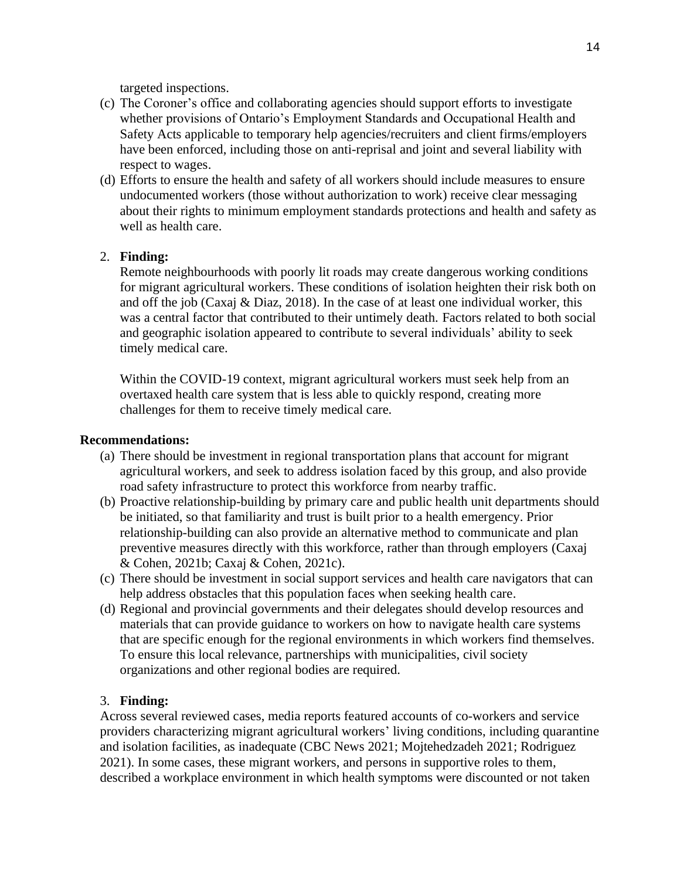targeted inspections.

- (c) The Coroner's office and collaborating agencies should support efforts to investigate whether provisions of Ontario's Employment Standards and Occupational Health and Safety Acts applicable to temporary help agencies/recruiters and client firms/employers have been enforced, including those on anti-reprisal and joint and several liability with respect to wages.
- (d) Efforts to ensure the health and safety of all workers should include measures to ensure undocumented workers (those without authorization to work) receive clear messaging about their rights to minimum employment standards protections and health and safety as well as health care.

# 2. **Finding:**

Remote neighbourhoods with poorly lit roads may create dangerous working conditions for migrant agricultural workers. These conditions of isolation heighten their risk both on and off the job (Caxaj  $\&$  Diaz, 2018). In the case of at least one individual worker, this was a central factor that contributed to their untimely death. Factors related to both social and geographic isolation appeared to contribute to several individuals' ability to seek timely medical care.

Within the COVID-19 context, migrant agricultural workers must seek help from an overtaxed health care system that is less able to quickly respond, creating more challenges for them to receive timely medical care.

### **Recommendations:**

- (a) There should be investment in regional transportation plans that account for migrant agricultural workers, and seek to address isolation faced by this group, and also provide road safety infrastructure to protect this workforce from nearby traffic.
- (b) Proactive relationship-building by primary care and public health unit departments should be initiated, so that familiarity and trust is built prior to a health emergency. Prior relationship-building can also provide an alternative method to communicate and plan preventive measures directly with this workforce, rather than through employers (Caxaj & Cohen, 2021b; Caxaj & Cohen, 2021c).
- (c) There should be investment in social support services and health care navigators that can help address obstacles that this population faces when seeking health care.
- (d) Regional and provincial governments and their delegates should develop resources and materials that can provide guidance to workers on how to navigate health care systems that are specific enough for the regional environments in which workers find themselves. To ensure this local relevance, partnerships with municipalities, civil society organizations and other regional bodies are required.

# 3. **Finding:**

Across several reviewed cases, media reports featured accounts of co-workers and service providers characterizing migrant agricultural workers' living conditions, including quarantine and isolation facilities, as inadequate (CBC News 2021; Mojtehedzadeh 2021; Rodriguez 2021). In some cases, these migrant workers, and persons in supportive roles to them, described a workplace environment in which health symptoms were discounted or not taken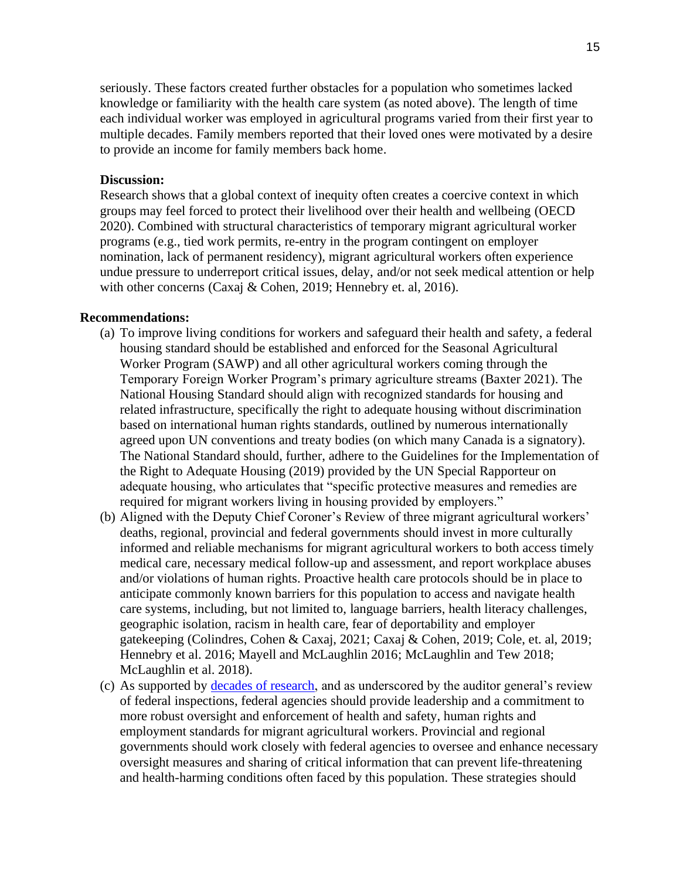seriously. These factors created further obstacles for a population who sometimes lacked knowledge or familiarity with the health care system (as noted above). The length of time each individual worker was employed in agricultural programs varied from their first year to multiple decades. Family members reported that their loved ones were motivated by a desire to provide an income for family members back home.

### **Discussion:**

Research shows that a global context of inequity often creates a coercive context in which groups may feel forced to protect their livelihood over their health and wellbeing (OECD 2020). Combined with structural characteristics of temporary migrant agricultural worker programs (e.g., tied work permits, re-entry in the program contingent on employer nomination, lack of permanent residency), migrant agricultural workers often experience undue pressure to underreport critical issues, delay, and/or not seek medical attention or help with other concerns (Caxaj & Cohen, 2019; Hennebry et. al, 2016).

- (a) To improve living conditions for workers and safeguard their health and safety, a federal housing standard should be established and enforced for the Seasonal Agricultural Worker Program (SAWP) and all other agricultural workers coming through the Temporary Foreign Worker Program's primary agriculture streams (Baxter 2021). The National Housing Standard should align with recognized standards for housing and related infrastructure, specifically the right to adequate housing without discrimination based on international human rights standards, outlined by numerous internationally agreed upon UN conventions and treaty bodies (on which many Canada is a signatory). The National Standard should, further, adhere to the Guidelines for the Implementation of the Right to Adequate Housing (2019) provided by the UN Special Rapporteur on adequate housing, who articulates that "specific protective measures and remedies are required for migrant workers living in housing provided by employers."
- (b) Aligned with the Deputy Chief Coroner's Review of three migrant agricultural workers' deaths, regional, provincial and federal governments should invest in more culturally informed and reliable mechanisms for migrant agricultural workers to both access timely medical care, necessary medical follow-up and assessment, and report workplace abuses and/or violations of human rights. Proactive health care protocols should be in place to anticipate commonly known barriers for this population to access and navigate health care systems, including, but not limited to, language barriers, health literacy challenges, geographic isolation, racism in health care, fear of deportability and employer gatekeeping (Colindres, Cohen & Caxaj, 2021; Caxaj & Cohen, 2019; Cole, et. al, 2019; Hennebry et al. 2016; Mayell and McLaughlin 2016; McLaughlin and Tew 2018; McLaughlin et al. 2018).
- (c) As supported by [decades of research,](https://www.migrantworker.ca/expert-working-group/academic-publications-on-health-migrant-workers/) and as underscored by the auditor general's review of federal inspections, federal agencies should provide leadership and a commitment to more robust oversight and enforcement of health and safety, human rights and employment standards for migrant agricultural workers. Provincial and regional governments should work closely with federal agencies to oversee and enhance necessary oversight measures and sharing of critical information that can prevent life-threatening and health-harming conditions often faced by this population. These strategies should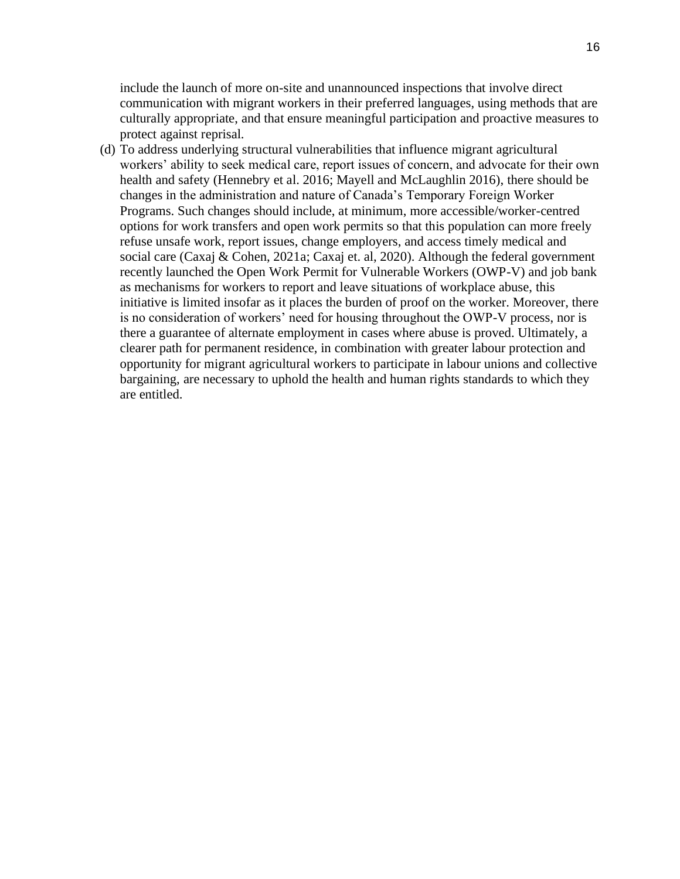include the launch of more on-site and unannounced inspections that involve direct communication with migrant workers in their preferred languages, using methods that are culturally appropriate, and that ensure meaningful participation and proactive measures to protect against reprisal.

(d) To address underlying structural vulnerabilities that influence migrant agricultural workers' ability to seek medical care, report issues of concern, and advocate for their own health and safety (Hennebry et al. 2016; Mayell and McLaughlin 2016), there should be changes in the administration and nature of Canada's Temporary Foreign Worker Programs. Such changes should include, at minimum, more accessible/worker-centred options for work transfers and open work permits so that this population can more freely refuse unsafe work, report issues, change employers, and access timely medical and social care (Caxaj & Cohen, 2021a; Caxaj et. al, 2020). Although the federal government recently launched the Open Work Permit for Vulnerable Workers (OWP-V) and job bank as mechanisms for workers to report and leave situations of workplace abuse, this initiative is limited insofar as it places the burden of proof on the worker. Moreover, there is no consideration of workers' need for housing throughout the OWP-V process, nor is there a guarantee of alternate employment in cases where abuse is proved. Ultimately, a clearer path for permanent residence, in combination with greater labour protection and opportunity for migrant agricultural workers to participate in labour unions and collective bargaining, are necessary to uphold the health and human rights standards to which they are entitled.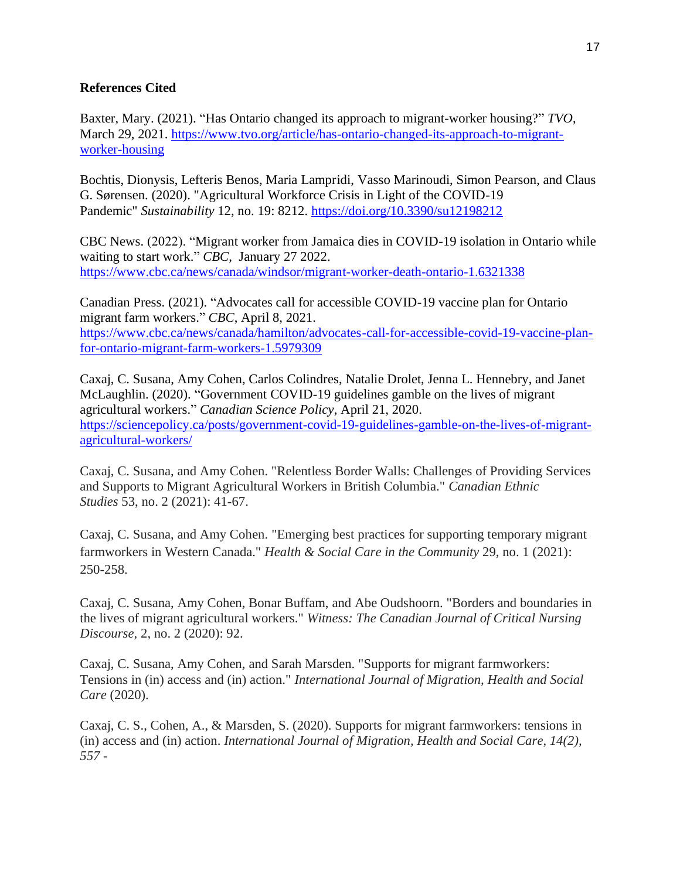# **References Cited**

Baxter, Mary. (2021). "Has Ontario changed its approach to migrant-worker housing?" *TVO*, March 29, 2021. [https://www.tvo.org/article/has-ontario-changed-its-approach-to-migrant](https://www.tvo.org/article/has-ontario-changed-its-approach-to-migrant-worker-housing)[worker-housing](https://www.tvo.org/article/has-ontario-changed-its-approach-to-migrant-worker-housing)

Bochtis, Dionysis, Lefteris Benos, Maria Lampridi, Vasso Marinoudi, Simon Pearson, and Claus G. Sørensen. (2020). "Agricultural Workforce Crisis in Light of the COVID-19 Pandemic" *Sustainability* 12, no. 19: 8212.<https://doi.org/10.3390/su12198212>

CBC News. (2022). "Migrant worker from Jamaica dies in COVID-19 isolation in Ontario while waiting to start work." *CBC,* January 27 2022. <https://www.cbc.ca/news/canada/windsor/migrant-worker-death-ontario-1.6321338>

Canadian Press. (2021). "Advocates call for accessible COVID-19 vaccine plan for Ontario migrant farm workers." *CBC*, April 8, 2021. [https://www.cbc.ca/news/canada/hamilton/advocates-call-for-accessible-covid-19-vaccine-plan](https://www.cbc.ca/news/canada/hamilton/advocates-call-for-accessible-covid-19-vaccine-plan-for-ontario-migrant-farm-workers-1.5979309)[for-ontario-migrant-farm-workers-1.5979309](https://www.cbc.ca/news/canada/hamilton/advocates-call-for-accessible-covid-19-vaccine-plan-for-ontario-migrant-farm-workers-1.5979309)

Caxaj, C. Susana, Amy Cohen, Carlos Colindres, Natalie Drolet, Jenna L. Hennebry, and Janet McLaughlin. (2020). "Government COVID-19 guidelines gamble on the lives of migrant agricultural workers." *Canadian Science Policy*, April 21, 2020. [https://sciencepolicy.ca/posts/government-covid-19-guidelines-gamble-on-the-lives-of-migrant](https://sciencepolicy.ca/posts/government-covid-19-guidelines-gamble-on-the-lives-of-migrant-agricultural-workers/)[agricultural-workers/](https://sciencepolicy.ca/posts/government-covid-19-guidelines-gamble-on-the-lives-of-migrant-agricultural-workers/)

Caxaj, C. Susana, and Amy Cohen. "Relentless Border Walls: Challenges of Providing Services and Supports to Migrant Agricultural Workers in British Columbia." *Canadian Ethnic Studies* 53, no. 2 (2021): 41-67.

Caxaj, C. Susana, and Amy Cohen. "Emerging best practices for supporting temporary migrant farmworkers in Western Canada." *Health & Social Care in the Community* 29, no. 1 (2021): 250-258.

Caxaj, C. Susana, Amy Cohen, Bonar Buffam, and Abe Oudshoorn. "Borders and boundaries in the lives of migrant agricultural workers." *Witness: The Canadian Journal of Critical Nursing Discourse,* 2, no. 2 (2020): 92.

Caxaj, C. Susana, Amy Cohen, and Sarah Marsden. "Supports for migrant farmworkers: Tensions in (in) access and (in) action." *International Journal of Migration, Health and Social Care* (2020).

Caxaj, C. S., Cohen, A., & Marsden, S. (2020). Supports for migrant farmworkers: tensions in (in) access and (in) action. *International Journal of Migration, Health and Social Care*, *14(2), 557 -*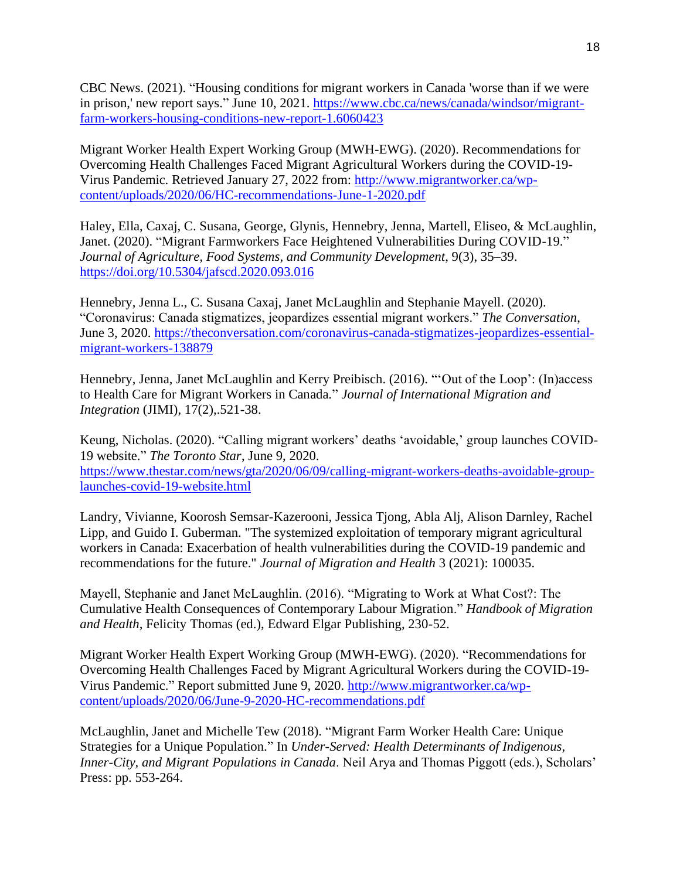CBC News. (2021). "Housing conditions for migrant workers in Canada 'worse than if we were in prison,' new report says." June 10, 2021. [https://www.cbc.ca/news/canada/windsor/migrant](https://www.cbc.ca/news/canada/windsor/migrant-farm-workers-housing-conditions-new-report-1.6060423)[farm-workers-housing-conditions-new-report-1.6060423](https://www.cbc.ca/news/canada/windsor/migrant-farm-workers-housing-conditions-new-report-1.6060423)

Migrant Worker Health Expert Working Group (MWH-EWG). (2020). Recommendations for Overcoming Health Challenges Faced Migrant Agricultural Workers during the COVID-19- Virus Pandemic. Retrieved January 27, 2022 from: [http://www.migrantworker.ca/wp](http://www.migrantworker.ca/wp-content/uploads/2020/06/HC-recommendations-June-1-2020.pdf)[content/uploads/2020/06/HC-recommendations-June-1-2020.pdf](http://www.migrantworker.ca/wp-content/uploads/2020/06/HC-recommendations-June-1-2020.pdf)

Haley, Ella, Caxaj, C. Susana, George, Glynis, Hennebry, Jenna, Martell, Eliseo, & McLaughlin, Janet. (2020). "Migrant Farmworkers Face Heightened Vulnerabilities During COVID-19." *Journal of Agriculture, Food Systems, and Community Development*, 9(3), 35–39. <https://doi.org/10.5304/jafscd.2020.093.016>

Hennebry, Jenna L., C. Susana Caxaj, Janet McLaughlin and Stephanie Mayell. (2020). "Coronavirus: Canada stigmatizes, jeopardizes essential migrant workers." *The Conversation*, June 3, 2020. [https://theconversation.com/coronavirus-canada-stigmatizes-jeopardizes-essential](https://theconversation.com/coronavirus-canada-stigmatizes-jeopardizes-essential-migrant-workers-138879)[migrant-workers-138879](https://theconversation.com/coronavirus-canada-stigmatizes-jeopardizes-essential-migrant-workers-138879)

Hennebry, Jenna, Janet McLaughlin and Kerry Preibisch. (2016). "'Out of the Loop': (In)access to Health Care for Migrant Workers in Canada." *Journal of International Migration and Integration* (JIMI), 17(2),.521-38.

Keung, Nicholas. (2020). "Calling migrant workers' deaths 'avoidable,' group launches COVID-19 website." *The Toronto Star*, June 9, 2020. [https://www.thestar.com/news/gta/2020/06/09/calling-migrant-workers-deaths-avoidable-group](https://www.thestar.com/news/gta/2020/06/09/calling-migrant-workers-deaths-avoidable-group-launches-covid-19-website.html)[launches-covid-19-website.html](https://www.thestar.com/news/gta/2020/06/09/calling-migrant-workers-deaths-avoidable-group-launches-covid-19-website.html)

Landry, Vivianne, Koorosh Semsar-Kazerooni, Jessica Tjong, Abla Alj, Alison Darnley, Rachel Lipp, and Guido I. Guberman. "The systemized exploitation of temporary migrant agricultural workers in Canada: Exacerbation of health vulnerabilities during the COVID-19 pandemic and recommendations for the future." *Journal of Migration and Health* 3 (2021): 100035.

Mayell, Stephanie and Janet McLaughlin. (2016). "Migrating to Work at What Cost?: The Cumulative Health Consequences of Contemporary Labour Migration." *Handbook of Migration and Health*, Felicity Thomas (ed.), Edward Elgar Publishing, 230-52.

Migrant Worker Health Expert Working Group (MWH-EWG). (2020). "Recommendations for Overcoming Health Challenges Faced by Migrant Agricultural Workers during the COVID-19- Virus Pandemic." Report submitted June 9, 2020. [http://www.migrantworker.ca/wp](http://www.migrantworker.ca/wp-content/uploads/2020/06/June-9-2020-HC-recommendations.pdf)[content/uploads/2020/06/June-9-2020-HC-recommendations.pdf](http://www.migrantworker.ca/wp-content/uploads/2020/06/June-9-2020-HC-recommendations.pdf)

McLaughlin, Janet and Michelle Tew (2018). "Migrant Farm Worker Health Care: Unique Strategies for a Unique Population." In *Under-Served: Health Determinants of Indigenous, Inner-City, and Migrant Populations in Canada*. Neil Arya and Thomas Piggott (eds.), Scholars' Press: pp. 553-264.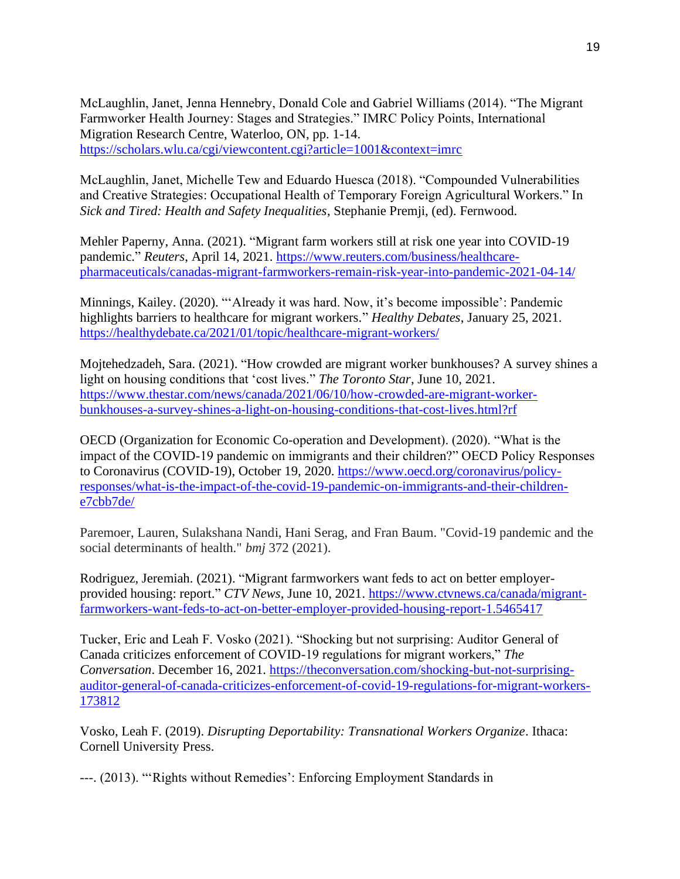McLaughlin, Janet, Jenna Hennebry, Donald Cole and Gabriel Williams (2014). "The Migrant Farmworker Health Journey: Stages and Strategies." IMRC Policy Points, International Migration Research Centre, Waterloo, ON, pp. 1-14. <https://scholars.wlu.ca/cgi/viewcontent.cgi?article=1001&context=imrc>

McLaughlin, Janet, Michelle Tew and Eduardo Huesca (2018). "Compounded Vulnerabilities and Creative Strategies: Occupational Health of Temporary Foreign Agricultural Workers." In *Sick and Tired: Health and Safety Inequalities*, Stephanie Premji, (ed). Fernwood.

Mehler Paperny, Anna. (2021). "Migrant farm workers still at risk one year into COVID-19 pandemic." *Reuters*, April 14, 2021. [https://www.reuters.com/business/healthcare](https://www.reuters.com/business/healthcare-pharmaceuticals/canadas-migrant-farmworkers-remain-risk-year-into-pandemic-2021-04-14/)[pharmaceuticals/canadas-migrant-farmworkers-remain-risk-year-into-pandemic-2021-04-14/](https://www.reuters.com/business/healthcare-pharmaceuticals/canadas-migrant-farmworkers-remain-risk-year-into-pandemic-2021-04-14/)

Minnings, Kailey. (2020). "'Already it was hard. Now, it's become impossible': Pandemic highlights barriers to healthcare for migrant workers." *Healthy Debates*, January 25, 2021. <https://healthydebate.ca/2021/01/topic/healthcare-migrant-workers/>

Mojtehedzadeh, Sara. (2021). "How crowded are migrant worker bunkhouses? A survey shines a light on housing conditions that 'cost lives." *The Toronto Star*, June 10, 2021. [https://www.thestar.com/news/canada/2021/06/10/how-crowded-are-migrant-worker](https://www.thestar.com/news/canada/2021/06/10/how-crowded-are-migrant-worker-bunkhouses-a-survey-shines-a-light-on-housing-conditions-that-cost-lives.html?rf)[bunkhouses-a-survey-shines-a-light-on-housing-conditions-that-cost-lives.html?rf](https://www.thestar.com/news/canada/2021/06/10/how-crowded-are-migrant-worker-bunkhouses-a-survey-shines-a-light-on-housing-conditions-that-cost-lives.html?rf)

OECD (Organization for Economic Co-operation and Development). (2020). "What is the impact of the COVID-19 pandemic on immigrants and their children?" OECD Policy Responses to Coronavirus (COVID-19), October 19, 2020. [https://www.oecd.org/coronavirus/policy](https://www.oecd.org/coronavirus/policy-responses/what-is-the-impact-of-the-covid-19-pandemic-on-immigrants-and-their-children-e7cbb7de/)[responses/what-is-the-impact-of-the-covid-19-pandemic-on-immigrants-and-their-children](https://www.oecd.org/coronavirus/policy-responses/what-is-the-impact-of-the-covid-19-pandemic-on-immigrants-and-their-children-e7cbb7de/)[e7cbb7de/](https://www.oecd.org/coronavirus/policy-responses/what-is-the-impact-of-the-covid-19-pandemic-on-immigrants-and-their-children-e7cbb7de/)

Paremoer, Lauren, Sulakshana Nandi, Hani Serag, and Fran Baum. "Covid-19 pandemic and the social determinants of health." *bmj* 372 (2021).

Rodriguez, Jeremiah. (2021). "Migrant farmworkers want feds to act on better employerprovided housing: report." *CTV News*, June 10, 2021. [https://www.ctvnews.ca/canada/migrant](https://www.ctvnews.ca/canada/migrant-farmworkers-want-feds-to-act-on-better-employer-provided-housing-report-1.5465417)[farmworkers-want-feds-to-act-on-better-employer-provided-housing-report-1.5465417](https://www.ctvnews.ca/canada/migrant-farmworkers-want-feds-to-act-on-better-employer-provided-housing-report-1.5465417)

Tucker, Eric and Leah F. Vosko (2021). "Shocking but not surprising: Auditor General of Canada criticizes enforcement of COVID-19 regulations for migrant workers," *The Conversation*. December 16, 2021. [https://theconversation.com/shocking-but-not-surprising](https://theconversation.com/shocking-but-not-surprising-auditor-general-of-canada-criticizes-enforcement-of-covid-19-regulations-for-migrant-workers-173812)[auditor-general-of-canada-criticizes-enforcement-of-covid-19-regulations-for-migrant-workers-](https://theconversation.com/shocking-but-not-surprising-auditor-general-of-canada-criticizes-enforcement-of-covid-19-regulations-for-migrant-workers-173812)[173812](https://theconversation.com/shocking-but-not-surprising-auditor-general-of-canada-criticizes-enforcement-of-covid-19-regulations-for-migrant-workers-173812)

Vosko, Leah F. (2019). *Disrupting Deportability: Transnational Workers Organize*. Ithaca: Cornell University Press.

---. (2013). "'Rights without Remedies': Enforcing Employment Standards in